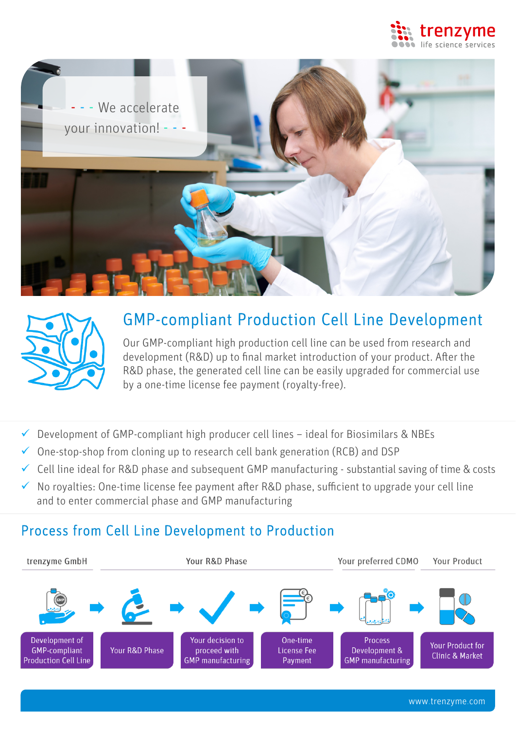





# GMP-compliant Production Cell Line Development

Our GMP-compliant high production cell line can be used from research and development (R&D) up to final market introduction of your product. After the R&D phase, the generated cell line can be easily upgraded for commercial use by a one-time license fee payment (royalty-free).

- $\checkmark$  Development of GMP-compliant high producer cell lines ideal for Biosimilars & NBEs
- $\checkmark$  One-stop-shop from cloning up to research cell bank generation (RCB) and DSP
- $\checkmark$  Cell line ideal for R&D phase and subsequent GMP manufacturing substantial saving of time & costs
- $\checkmark$  No royalties: One-time license fee payment after R&D phase, sufficient to upgrade your cell line and to enter commercial phase and GMP manufacturing

### Process from Cell Line Development to Production